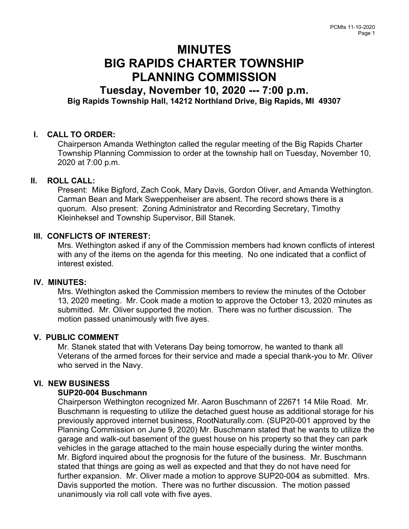# MINUTES BIG RAPIDS CHARTER TOWNSHIP PLANNING COMMISSION

# Tuesday, November 10, 2020 --- 7:00 p.m. Big Rapids Township Hall, 14212 Northland Drive, Big Rapids, MI 49307

# I. CALL TO ORDER:

Chairperson Amanda Wethington called the regular meeting of the Big Rapids Charter Township Planning Commission to order at the township hall on Tuesday, November 10, 2020 at 7:00 p.m.

# II. ROLL CALL:

Present: Mike Bigford, Zach Cook, Mary Davis, Gordon Oliver, and Amanda Wethington. Carman Bean and Mark Sweppenheiser are absent. The record shows there is a quorum. Also present: Zoning Administrator and Recording Secretary, Timothy Kleinheksel and Township Supervisor, Bill Stanek.

### III. CONFLICTS OF INTEREST:

Mrs. Wethington asked if any of the Commission members had known conflicts of interest with any of the items on the agenda for this meeting. No one indicated that a conflict of interest existed.

#### IV. MINUTES:

Mrs. Wethington asked the Commission members to review the minutes of the October 13, 2020 meeting. Mr. Cook made a motion to approve the October 13, 2020 minutes as submitted. Mr. Oliver supported the motion. There was no further discussion. The motion passed unanimously with five ayes.

# V. PUBLIC COMMENT

Mr. Stanek stated that with Veterans Day being tomorrow, he wanted to thank all Veterans of the armed forces for their service and made a special thank-you to Mr. Oliver who served in the Navy.

# VI. NEW BUSINESS

# SUP20-004 Buschmann

Chairperson Wethington recognized Mr. Aaron Buschmann of 22671 14 Mile Road. Mr. Buschmann is requesting to utilize the detached guest house as additional storage for his previously approved internet business, RootNaturally.com. (SUP20-001 approved by the Planning Commission on June 9, 2020) Mr. Buschmann stated that he wants to utilize the garage and walk-out basement of the guest house on his property so that they can park vehicles in the garage attached to the main house especially during the winter months. Mr. Bigford inquired about the prognosis for the future of the business. Mr. Buschmann stated that things are going as well as expected and that they do not have need for further expansion. Mr. Oliver made a motion to approve SUP20-004 as submitted. Mrs. Davis supported the motion. There was no further discussion. The motion passed unanimously via roll call vote with five ayes.